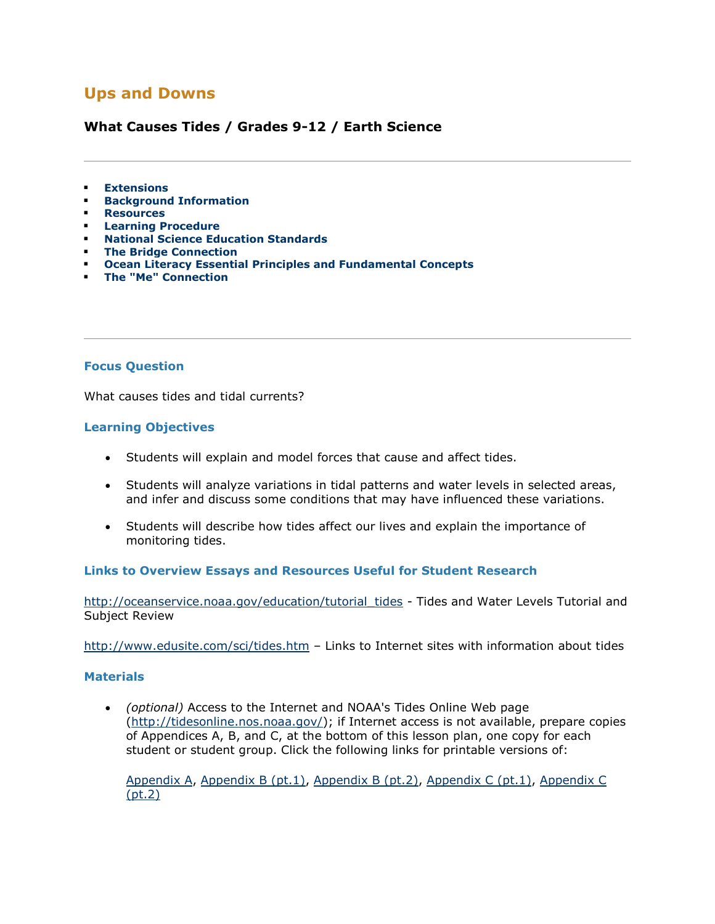## **Ups and Downs**

### **What Causes Tides / Grades 9-12 / Earth Science**

- **[Extensions](http://oceanservice.noaa.gov/education/lessons/ups_downs.html#extensions)**
- **[Background Information](http://oceanservice.noaa.gov/education/lessons/ups_downs.html#background)**
- **[Resources](http://oceanservice.noaa.gov/education/lessons/ups_downs.html#resources)**
- **[Learning Procedure](http://oceanservice.noaa.gov/education/lessons/ups_downs.html#procedure)**
- **[National Science Education Standards](http://oceanservice.noaa.gov/education/lessons/ups_downs.html#standards)**
- **[The Bridge Connection](http://oceanservice.noaa.gov/education/lessons/ups_downs.html#bridge)**
- **[Ocean Literacy Essential Principles and Fundamental Concepts](http://oceanservice.noaa.gov/education/lessons/ups_downs.html#literacy)**
- **[The "Me" Connection](http://oceanservice.noaa.gov/education/lessons/ups_downs.html#me)**

#### **Focus Question**

What causes tides and tidal currents?

#### **Learning Objectives**

- Students will explain and model forces that cause and affect tides.
- Students will analyze variations in tidal patterns and water levels in selected areas, and infer and discuss some conditions that may have influenced these variations.
- Students will describe how tides affect our lives and explain the importance of monitoring tides.

#### **Links to Overview Essays and Resources Useful for Student Research**

[http://oceanservice.noaa.gov/education/tutorial\\_tides](http://oceanservice.noaa.gov/education/tutorial_tides/welcome.html) - Tides and Water Levels Tutorial and Subject Review

[http://www.edusite.com/sci/tides.htm](http://oceanservice.noaa.gov/exit.php?url=http%3A%2F%2Fwww.edusite.com%2Fsci%2Ftides.htm) – Links to Internet sites with information about tides

#### **Materials**

 *(optional)* Access to the Internet and NOAA's Tides Online Web page [\(http://tidesonline.nos.noaa.gov/\)](http://tidesonline.nos.noaa.gov/); if Internet access is not available, prepare copies of Appendices A, B, and C, at the bottom of this lesson plan, one copy for each student or student group. Click the following links for printable versions of:

[Appendix A,](http://oceanservice.noaa.gov/education/lessons/ups_downs_appendix_a.html) [Appendix B \(pt.1\),](http://oceanservice.noaa.gov/education/lessons/ups_downs_appendix_b1.html) [Appendix B \(pt.2\),](http://oceanservice.noaa.gov/education/lessons/ups_downs_appendix_b2.html) [Appendix C \(pt.1\),](http://oceanservice.noaa.gov/education/lessons/ups_downs_appendix_c1.html) [Appendix C](http://oceanservice.noaa.gov/education/lessons/ups_downs_appendix_c2.html)  [\(pt.2\)](http://oceanservice.noaa.gov/education/lessons/ups_downs_appendix_c2.html)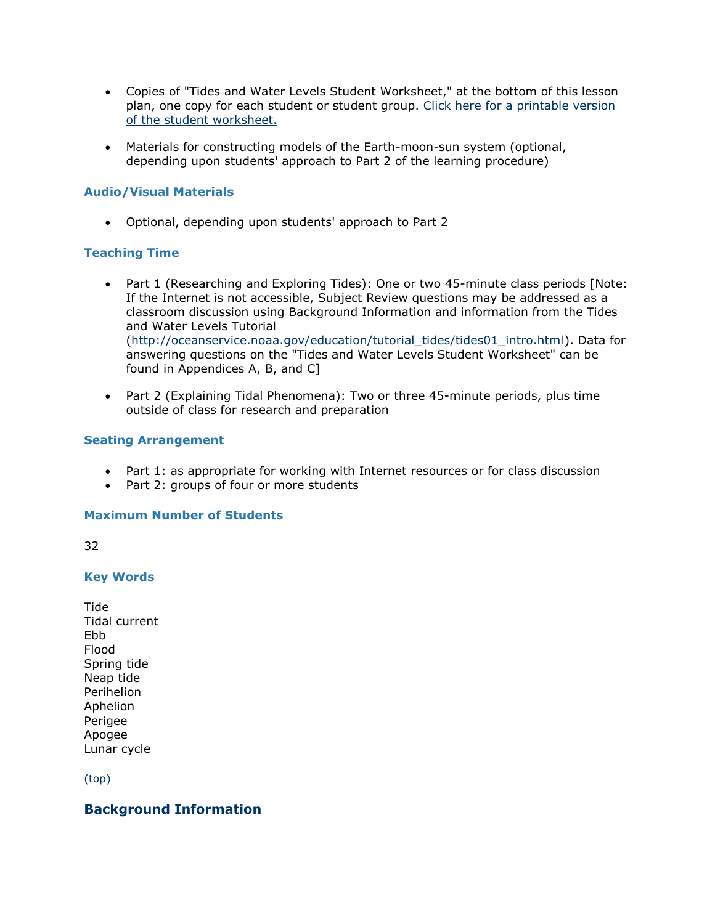- Copies of "Tides and Water Levels Student Worksheet," at the bottom of this lesson plan, one copy for each student or student group. [Click here for a printable version](http://oceanservice.noaa.gov/education/lessons/ups_downs_wrksheet.html)  [of the student worksheet.](http://oceanservice.noaa.gov/education/lessons/ups_downs_wrksheet.html)
- Materials for constructing models of the Earth-moon-sun system (optional, depending upon students' approach to Part 2 of the learning procedure)

#### **Audio/Visual Materials**

Optional, depending upon students' approach to Part 2

#### **Teaching Time**

- Part 1 (Researching and Exploring Tides): One or two 45-minute class periods [Note: If the Internet is not accessible, Subject Review questions may be addressed as a classroom discussion using Background Information and information from the Tides and Water Levels Tutorial [\(http://oceanservice.noaa.gov/education/tutorial\\_tides/tides01\\_intro.html\)](http://oceanservice.noaa.gov/education/tutorial_tides/tides01_intro.html). Data for answering questions on the "Tides and Water Levels Student Worksheet" can be found in Appendices A, B, and C]
- Part 2 (Explaining Tidal Phenomena): Two or three 45-minute periods, plus time outside of class for research and preparation

#### **Seating Arrangement**

- Part 1: as appropriate for working with Internet resources or for class discussion
- Part 2: groups of four or more students

#### **Maximum Number of Students**

32

#### **Key Words**

Tide Tidal current Ebb Flood Spring tide Neap tide Perihelion Aphelion Perigee Apogee Lunar cycle

[\(top\)](http://oceanservice.noaa.gov/education/lessons/ups_downs.html#top)

#### **Background Information**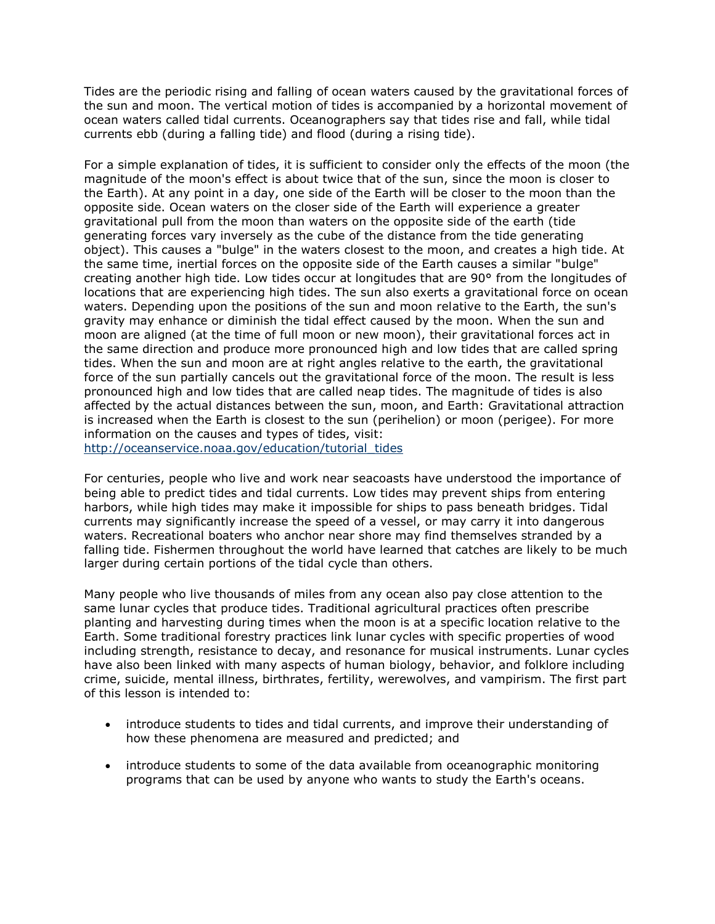Tides are the periodic rising and falling of ocean waters caused by the gravitational forces of the sun and moon. The vertical motion of tides is accompanied by a horizontal movement of ocean waters called tidal currents. Oceanographers say that tides rise and fall, while tidal currents ebb (during a falling tide) and flood (during a rising tide).

For a simple explanation of tides, it is sufficient to consider only the effects of the moon (the magnitude of the moon's effect is about twice that of the sun, since the moon is closer to the Earth). At any point in a day, one side of the Earth will be closer to the moon than the opposite side. Ocean waters on the closer side of the Earth will experience a greater gravitational pull from the moon than waters on the opposite side of the earth (tide generating forces vary inversely as the cube of the distance from the tide generating object). This causes a "bulge" in the waters closest to the moon, and creates a high tide. At the same time, inertial forces on the opposite side of the Earth causes a similar "bulge" creating another high tide. Low tides occur at longitudes that are 90° from the longitudes of locations that are experiencing high tides. The sun also exerts a gravitational force on ocean waters. Depending upon the positions of the sun and moon relative to the Earth, the sun's gravity may enhance or diminish the tidal effect caused by the moon. When the sun and moon are aligned (at the time of full moon or new moon), their gravitational forces act in the same direction and produce more pronounced high and low tides that are called spring tides. When the sun and moon are at right angles relative to the earth, the gravitational force of the sun partially cancels out the gravitational force of the moon. The result is less pronounced high and low tides that are called neap tides. The magnitude of tides is also affected by the actual distances between the sun, moon, and Earth: Gravitational attraction is increased when the Earth is closest to the sun (perihelion) or moon (perigee). For more information on the causes and types of tides, visit: [http://oceanservice.noaa.gov/education/tutorial\\_tides](http://oceanservice.noaa.gov/education/tutorial_tides/welcome.html)

For centuries, people who live and work near seacoasts have understood the importance of being able to predict tides and tidal currents. Low tides may prevent ships from entering harbors, while high tides may make it impossible for ships to pass beneath bridges. Tidal currents may significantly increase the speed of a vessel, or may carry it into dangerous waters. Recreational boaters who anchor near shore may find themselves stranded by a falling tide. Fishermen throughout the world have learned that catches are likely to be much larger during certain portions of the tidal cycle than others.

Many people who live thousands of miles from any ocean also pay close attention to the same lunar cycles that produce tides. Traditional agricultural practices often prescribe planting and harvesting during times when the moon is at a specific location relative to the Earth. Some traditional forestry practices link lunar cycles with specific properties of wood including strength, resistance to decay, and resonance for musical instruments. Lunar cycles have also been linked with many aspects of human biology, behavior, and folklore including crime, suicide, mental illness, birthrates, fertility, werewolves, and vampirism. The first part of this lesson is intended to:

- introduce students to tides and tidal currents, and improve their understanding of how these phenomena are measured and predicted; and
- introduce students to some of the data available from oceanographic monitoring programs that can be used by anyone who wants to study the Earth's oceans.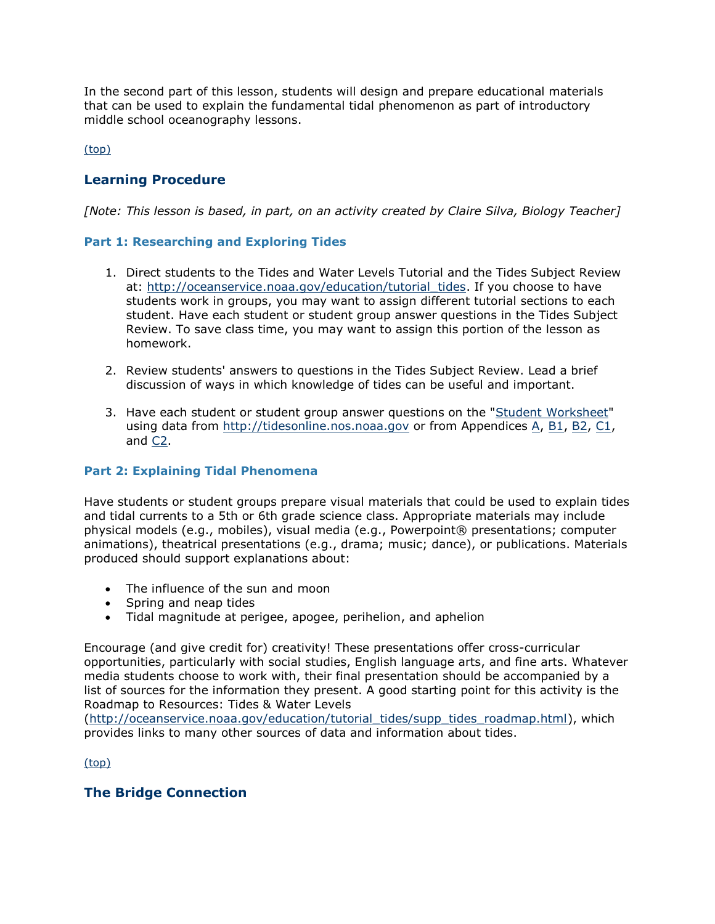In the second part of this lesson, students will design and prepare educational materials that can be used to explain the fundamental tidal phenomenon as part of introductory middle school oceanography lessons.

[\(top\)](http://oceanservice.noaa.gov/education/lessons/ups_downs.html#top)

## **Learning Procedure**

*[Note: This lesson is based, in part, on an activity created by Claire Silva, Biology Teacher]*

#### **Part 1: Researching and Exploring Tides**

- 1. Direct students to the Tides and Water Levels Tutorial and the Tides Subject Review at: [http://oceanservice.noaa.gov/education/tutorial\\_tides.](http://oceanservice.noaa.gov/education/tutorial_tides/welcome.html) If you choose to have students work in groups, you may want to assign different tutorial sections to each student. Have each student or student group answer questions in the Tides Subject Review. To save class time, you may want to assign this portion of the lesson as homework.
- 2. Review students' answers to questions in the Tides Subject Review. Lead a brief discussion of ways in which knowledge of tides can be useful and important.
- 3. Have each student or student group answer questions on the ["Student Worksheet"](http://oceanservice.noaa.gov/education/lessons/ups_downs_wrksheet.html) using data from [http://tidesonline.nos.noaa.gov](http://tidesonline.nos.noaa.gov/) or from Appendices [A,](http://oceanservice.noaa.gov/education/lessons/ups_downs_appendix_a.html) [B1,](http://oceanservice.noaa.gov/education/lessons/ups_downs_appendix_b1.html) [B2,](http://oceanservice.noaa.gov/education/lessons/ups_downs_appendix_b2.html) [C1,](http://oceanservice.noaa.gov/education/lessons/ups_downs_appendix_c1.html) and [C2.](http://oceanservice.noaa.gov/education/lessons/ups_downs_appendix_c2.html)

#### **Part 2: Explaining Tidal Phenomena**

Have students or student groups prepare visual materials that could be used to explain tides and tidal currents to a 5th or 6th grade science class. Appropriate materials may include physical models (e.g., mobiles), visual media (e.g., Powerpoint® presentations; computer animations), theatrical presentations (e.g., drama; music; dance), or publications. Materials produced should support explanations about:

- The influence of the sun and moon
- Spring and neap tides
- Tidal magnitude at perigee, apogee, perihelion, and aphelion

Encourage (and give credit for) creativity! These presentations offer cross-curricular opportunities, particularly with social studies, English language arts, and fine arts. Whatever media students choose to work with, their final presentation should be accompanied by a list of sources for the information they present. A good starting point for this activity is the Roadmap to Resources: Tides & Water Levels

[\(http://oceanservice.noaa.gov/education/tutorial\\_tides/supp\\_tides\\_roadmap.html\)](http://oceanservice.noaa.gov/education/tutorial_tides/supp_tides_roadmap.html), which provides links to many other sources of data and information about tides.

[\(top\)](http://oceanservice.noaa.gov/education/lessons/ups_downs.html#top)

## **The Bridge Connection**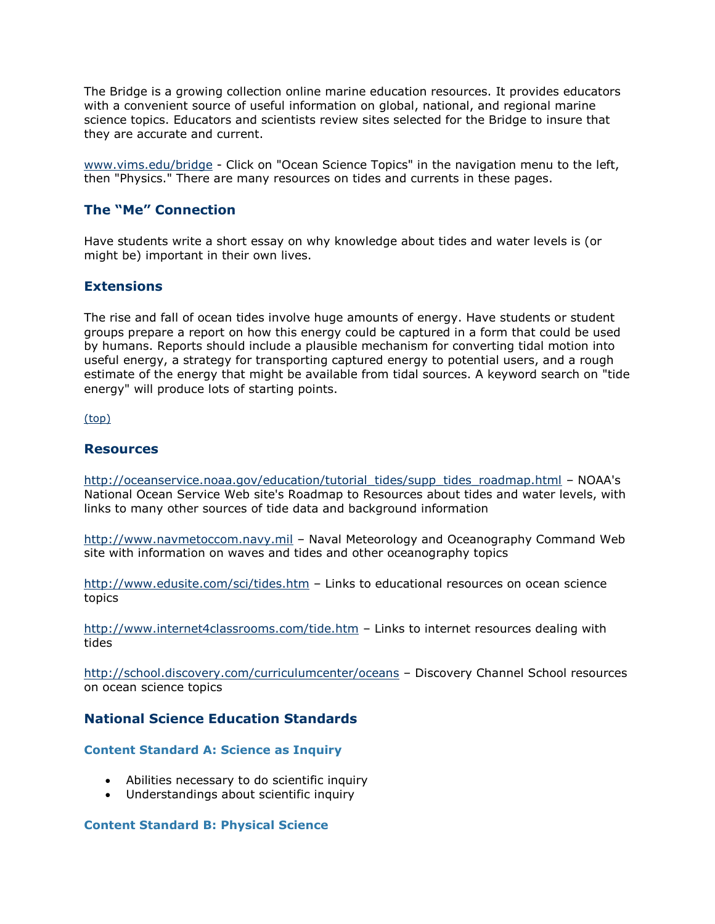The Bridge is a growing collection online marine education resources. It provides educators with a convenient source of useful information on global, national, and regional marine science topics. Educators and scientists review sites selected for the Bridge to insure that they are accurate and current.

[www.vims.edu/bridge](http://oceanservice.noaa.gov/exit.php?url=http%3A%2F%2Fwww.vims.edu%2Fbridge) - Click on "Ocean Science Topics" in the navigation menu to the left, then "Physics." There are many resources on tides and currents in these pages.

#### **The "Me" Connection**

Have students write a short essay on why knowledge about tides and water levels is (or might be) important in their own lives.

#### **Extensions**

The rise and fall of ocean tides involve huge amounts of energy. Have students or student groups prepare a report on how this energy could be captured in a form that could be used by humans. Reports should include a plausible mechanism for converting tidal motion into useful energy, a strategy for transporting captured energy to potential users, and a rough estimate of the energy that might be available from tidal sources. A keyword search on "tide energy" will produce lots of starting points.

[\(top\)](http://oceanservice.noaa.gov/education/lessons/ups_downs.html#top)

#### **Resources**

[http://oceanservice.noaa.gov/education/tutorial\\_tides/supp\\_tides\\_roadmap.html](http://oceanservice.noaa.gov/education/tutorial_tides/supp_tides_roadmap.html) – NOAA's National Ocean Service Web site's Roadmap to Resources about tides and water levels, with links to many other sources of tide data and background information

[http://www.navmetoccom.navy.mil](http://www.navmetoccom.navy.mil/) – Naval Meteorology and Oceanography Command Web site with information on waves and tides and other oceanography topics

[http://www.edusite.com/sci/tides.htm](http://oceanservice.noaa.gov/exit.php?url=http%3A%2F%2Fwww.edusite.com%2Fsci%2Ftides.htm) – Links to educational resources on ocean science topics

[http://www.internet4classrooms.com/tide.htm](http://oceanservice.noaa.gov/exit.php?url=http%3A%2F%2Fwww.internet4classrooms.com%2Ftide.htm) - Links to internet resources dealing with tides

[http://school.discovery.com/curriculumcenter/oceans](http://oceanservice.noaa.gov/exit.php?url=http%3A%2F%2Fschool.discovery.com%2Fcurriculumcenter%2Foceans) – Discovery Channel School resources on ocean science topics

### **National Science Education Standards**

#### **Content Standard A: Science as Inquiry**

- Abilities necessary to do scientific inquiry
- Understandings about scientific inquiry

#### **Content Standard B: Physical Science**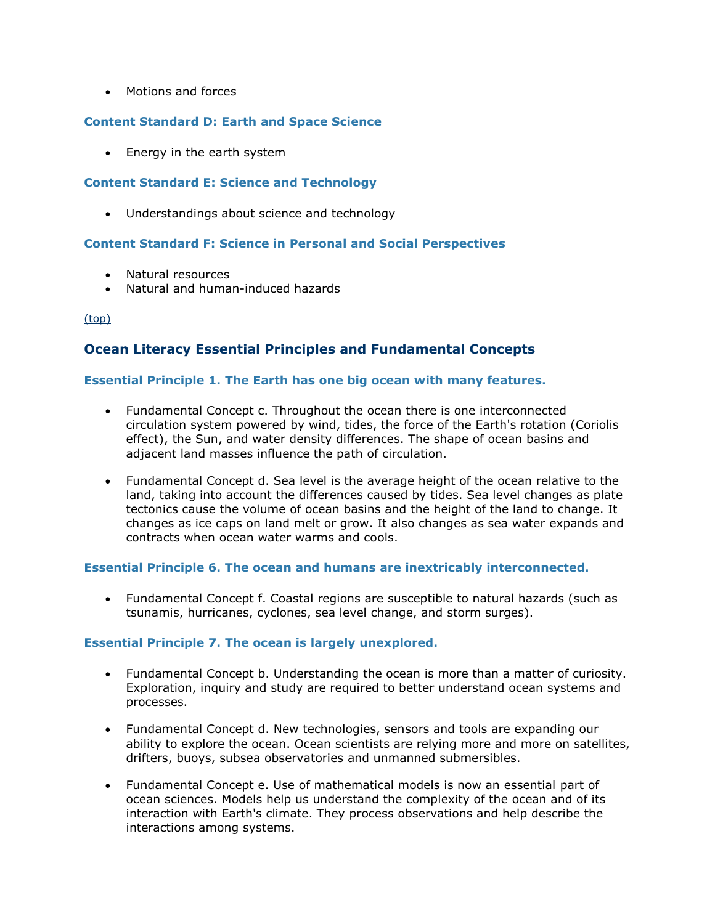• Motions and forces

#### **Content Standard D: Earth and Space Science**

• Energy in the earth system

#### **Content Standard E: Science and Technology**

• Understandings about science and technology

#### **Content Standard F: Science in Personal and Social Perspectives**

- Natural resources
- Natural and human-induced hazards

[\(top\)](http://oceanservice.noaa.gov/education/lessons/ups_downs.html#top)

### **Ocean Literacy Essential Principles and Fundamental Concepts**

#### **Essential Principle 1. The Earth has one big ocean with many features.**

- Fundamental Concept c. Throughout the ocean there is one interconnected circulation system powered by wind, tides, the force of the Earth's rotation (Coriolis effect), the Sun, and water density differences. The shape of ocean basins and adjacent land masses influence the path of circulation.
- Fundamental Concept d. Sea level is the average height of the ocean relative to the land, taking into account the differences caused by tides. Sea level changes as plate tectonics cause the volume of ocean basins and the height of the land to change. It changes as ice caps on land melt or grow. It also changes as sea water expands and contracts when ocean water warms and cools.

#### **Essential Principle 6. The ocean and humans are inextricably interconnected.**

 Fundamental Concept f. Coastal regions are susceptible to natural hazards (such as tsunamis, hurricanes, cyclones, sea level change, and storm surges).

#### **Essential Principle 7. The ocean is largely unexplored.**

- Fundamental Concept b. Understanding the ocean is more than a matter of curiosity. Exploration, inquiry and study are required to better understand ocean systems and processes.
- Fundamental Concept d. New technologies, sensors and tools are expanding our ability to explore the ocean. Ocean scientists are relying more and more on satellites, drifters, buoys, subsea observatories and unmanned submersibles.
- Fundamental Concept e. Use of mathematical models is now an essential part of ocean sciences. Models help us understand the complexity of the ocean and of its interaction with Earth's climate. They process observations and help describe the interactions among systems.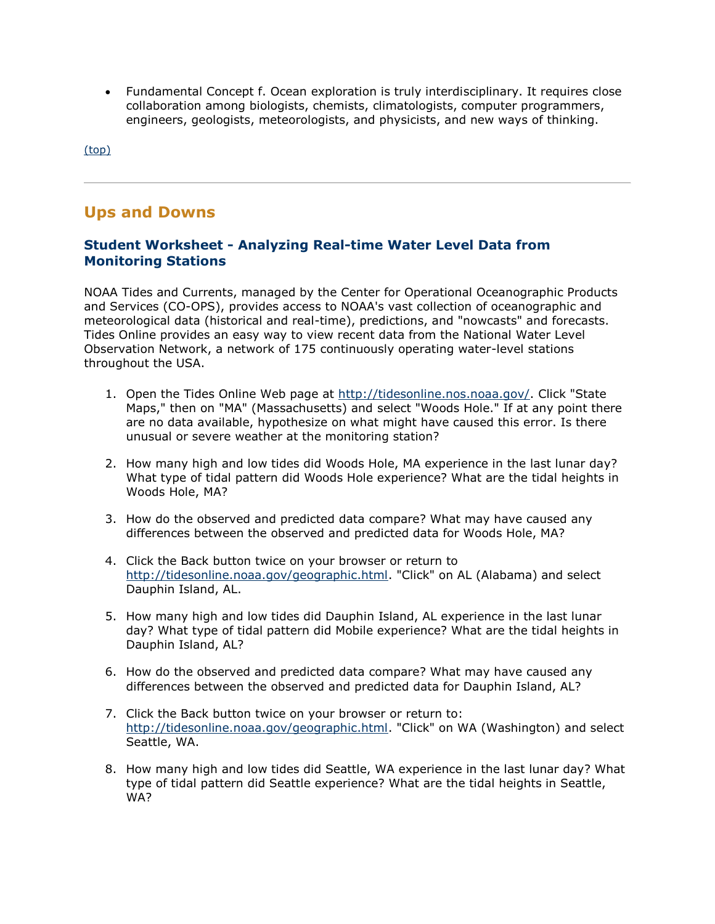Fundamental Concept f. Ocean exploration is truly interdisciplinary. It requires close collaboration among biologists, chemists, climatologists, computer programmers, engineers, geologists, meteorologists, and physicists, and new ways of thinking.

[\(top\)](http://oceanservice.noaa.gov/education/lessons/ups_downs.html#top)

## **Ups and Downs**

### **Student Worksheet - Analyzing Real-time Water Level Data from Monitoring Stations**

NOAA Tides and Currents, managed by the Center for Operational Oceanographic Products and Services (CO-OPS), provides access to NOAA's vast collection of oceanographic and meteorological data (historical and real-time), predictions, and "nowcasts" and forecasts. Tides Online provides an easy way to view recent data from the National Water Level Observation Network, a network of 175 continuously operating water-level stations throughout the USA.

- 1. Open the Tides Online Web page at [http://tidesonline.nos.noaa.gov/.](http://tidesonline.nos.noaa.gov/) Click "State Maps," then on "MA" (Massachusetts) and select "Woods Hole." If at any point there are no data available, hypothesize on what might have caused this error. Is there unusual or severe weather at the monitoring station?
- 2. How many high and low tides did Woods Hole, MA experience in the last lunar day? What type of tidal pattern did Woods Hole experience? What are the tidal heights in Woods Hole, MA?
- 3. How do the observed and predicted data compare? What may have caused any differences between the observed and predicted data for Woods Hole, MA?
- 4. Click the Back button twice on your browser or return to [http://tidesonline.noaa.gov/geographic.html.](http://tidesonline.noaa.gov/geographic.html) "Click" on AL (Alabama) and select Dauphin Island, AL.
- 5. How many high and low tides did Dauphin Island, AL experience in the last lunar day? What type of tidal pattern did Mobile experience? What are the tidal heights in Dauphin Island, AL?
- 6. How do the observed and predicted data compare? What may have caused any differences between the observed and predicted data for Dauphin Island, AL?
- 7. Click the Back button twice on your browser or return to: [http://tidesonline.noaa.gov/geographic.html.](http://tidesonline.noaa.gov/geographic.html) "Click" on WA (Washington) and select Seattle, WA.
- 8. How many high and low tides did Seattle, WA experience in the last lunar day? What type of tidal pattern did Seattle experience? What are the tidal heights in Seattle, WA?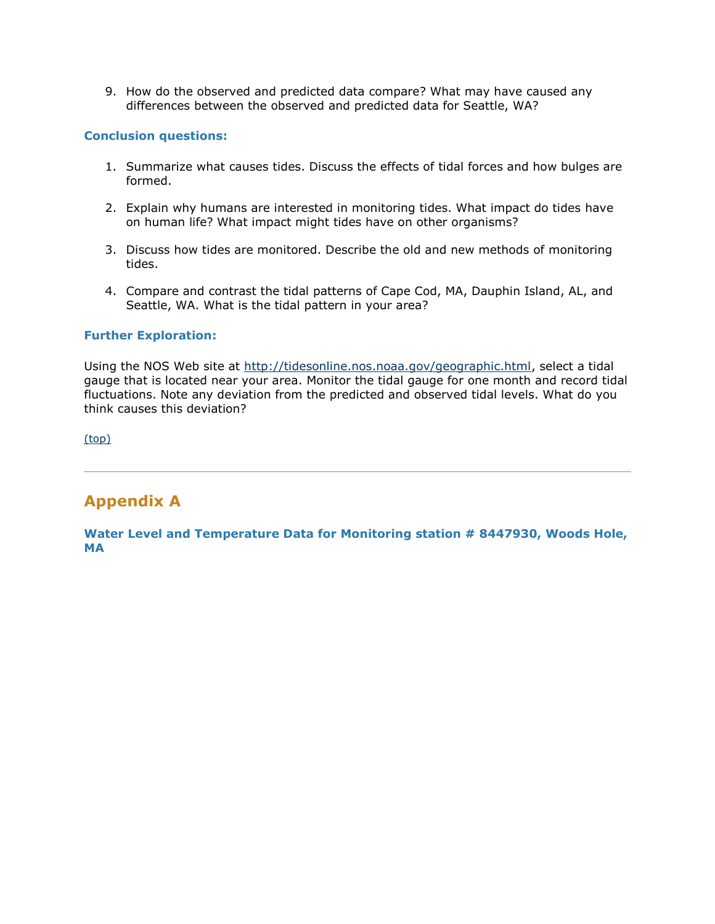9. How do the observed and predicted data compare? What may have caused any differences between the observed and predicted data for Seattle, WA?

#### **Conclusion questions:**

- 1. Summarize what causes tides. Discuss the effects of tidal forces and how bulges are formed.
- 2. Explain why humans are interested in monitoring tides. What impact do tides have on human life? What impact might tides have on other organisms?
- 3. Discuss how tides are monitored. Describe the old and new methods of monitoring tides.
- 4. Compare and contrast the tidal patterns of Cape Cod, MA, Dauphin Island, AL, and Seattle, WA. What is the tidal pattern in your area?

#### **Further Exploration:**

Using the NOS Web site at [http://tidesonline.nos.noaa.gov/geographic.html,](http://tidesonline.nos.noaa.gov/geographic.html) select a tidal gauge that is located near your area. Monitor the tidal gauge for one month and record tidal fluctuations. Note any deviation from the predicted and observed tidal levels. What do you think causes this deviation?

[\(top\)](http://oceanservice.noaa.gov/education/lessons/ups_downs.html#top)

## **Appendix A**

**Water Level and Temperature Data for Monitoring station # 8447930, Woods Hole, MA**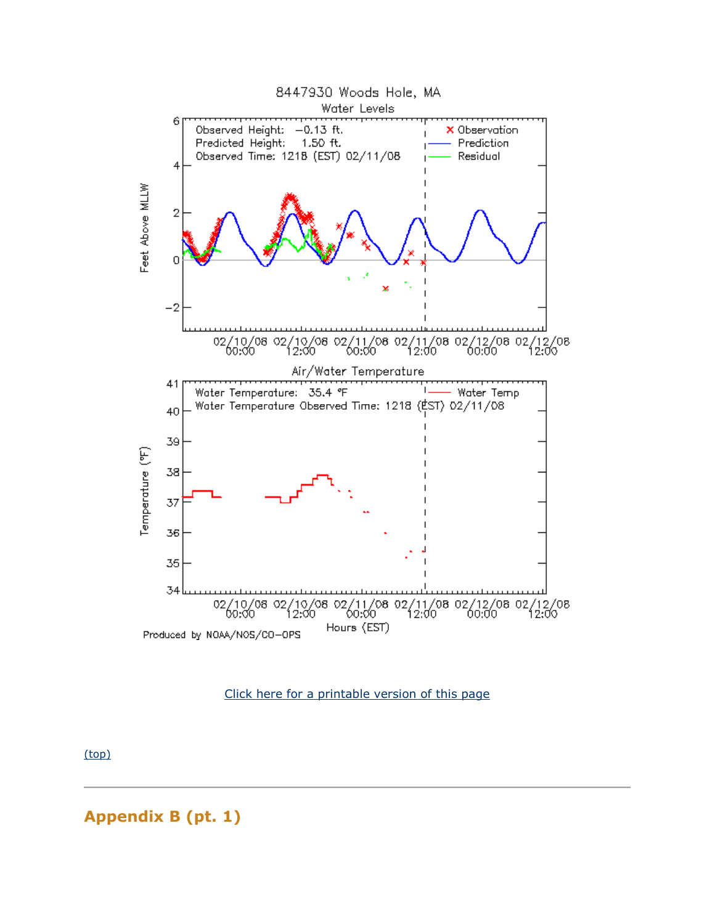

#### [Click here for a printable version of this page](http://oceanservice.noaa.gov/education/lessons/ups_downs_appendix_a.html)

[\(top\)](http://oceanservice.noaa.gov/education/lessons/ups_downs.html#top)

**Appendix B (pt. 1)**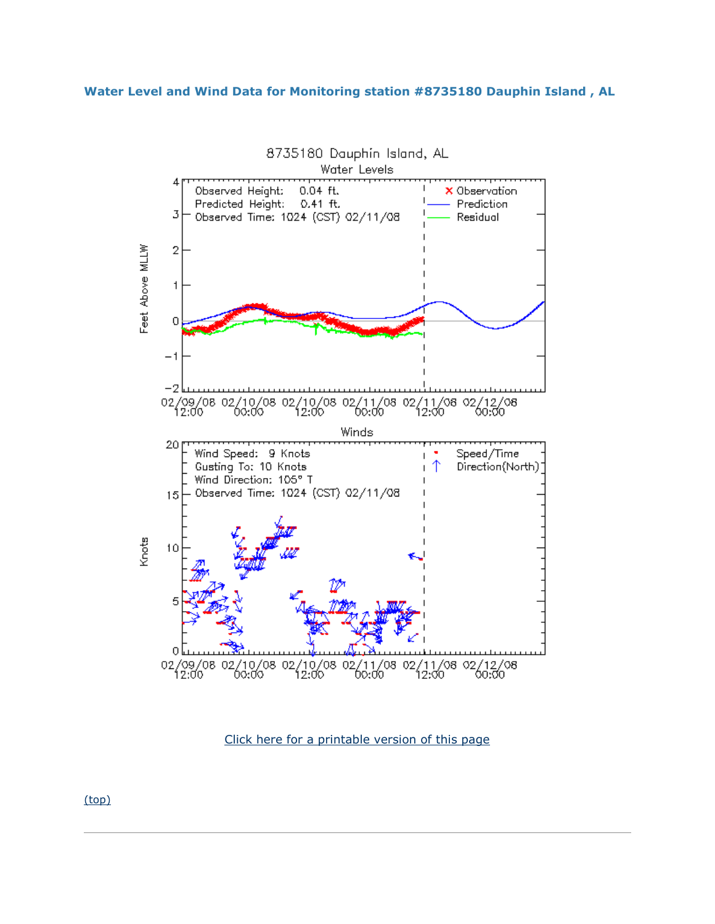#### **Water Level and Wind Data for Monitoring station #8735180 Dauphin Island , AL**



[Click here for a printable version of this page](http://oceanservice.noaa.gov/education/lessons/ups_downs_appendix_b1.html)

[\(top\)](http://oceanservice.noaa.gov/education/lessons/ups_downs.html#top)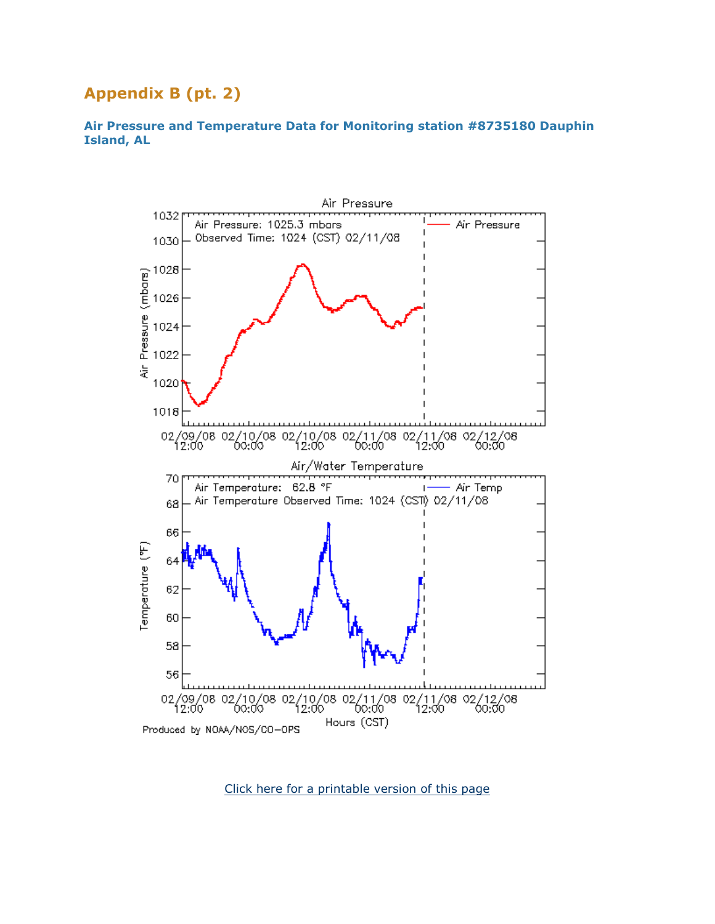# **Appendix B (pt. 2)**

#### **Air Pressure and Temperature Data for Monitoring station #8735180 Dauphin Island, AL**



[Click here for a printable version of this page](http://oceanservice.noaa.gov/education/lessons/ups_downs_appendix_b2.html)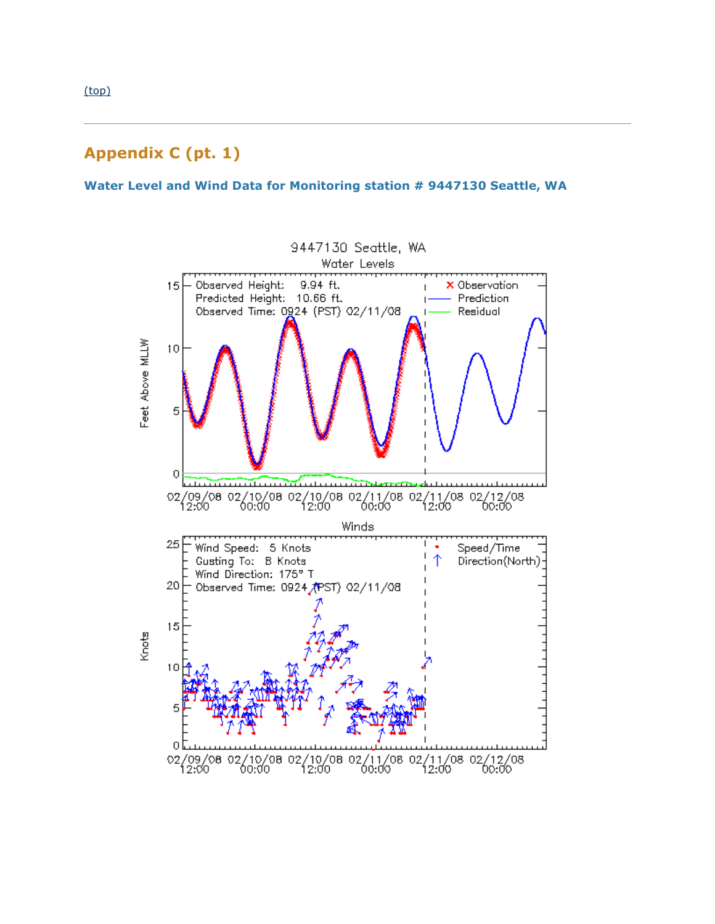**Water Level and Wind Data for Monitoring station # 9447130 Seattle, WA**

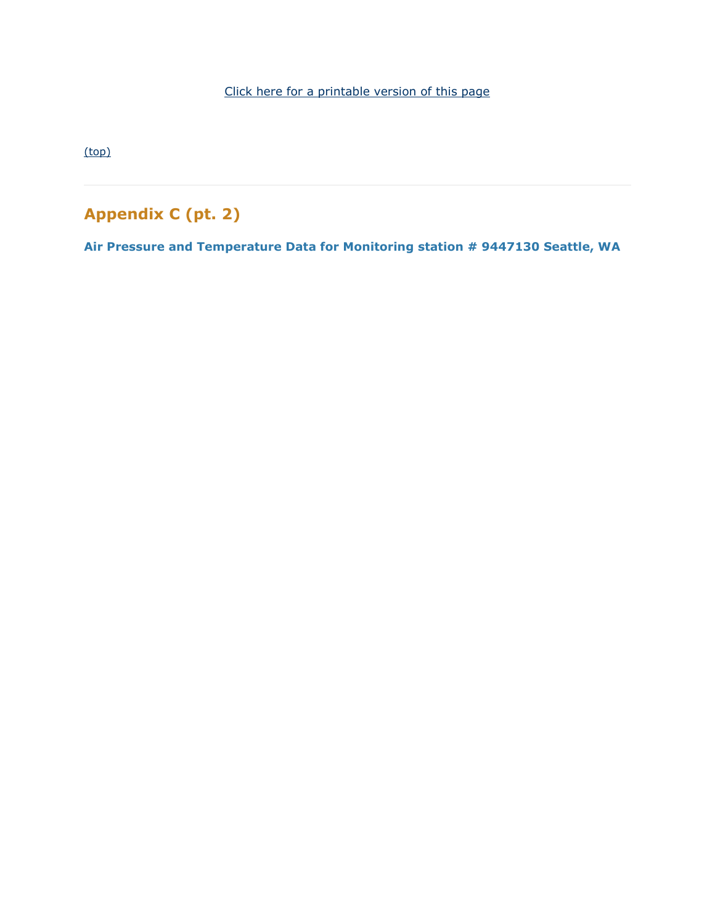[Click here for a printable version of this page](http://oceanservice.noaa.gov/education/lessons/ups_downs_appendix_c1.html)

[\(top\)](http://oceanservice.noaa.gov/education/lessons/ups_downs.html#top)

# **Appendix C (pt. 2)**

**Air Pressure and Temperature Data for Monitoring station # 9447130 Seattle, WA**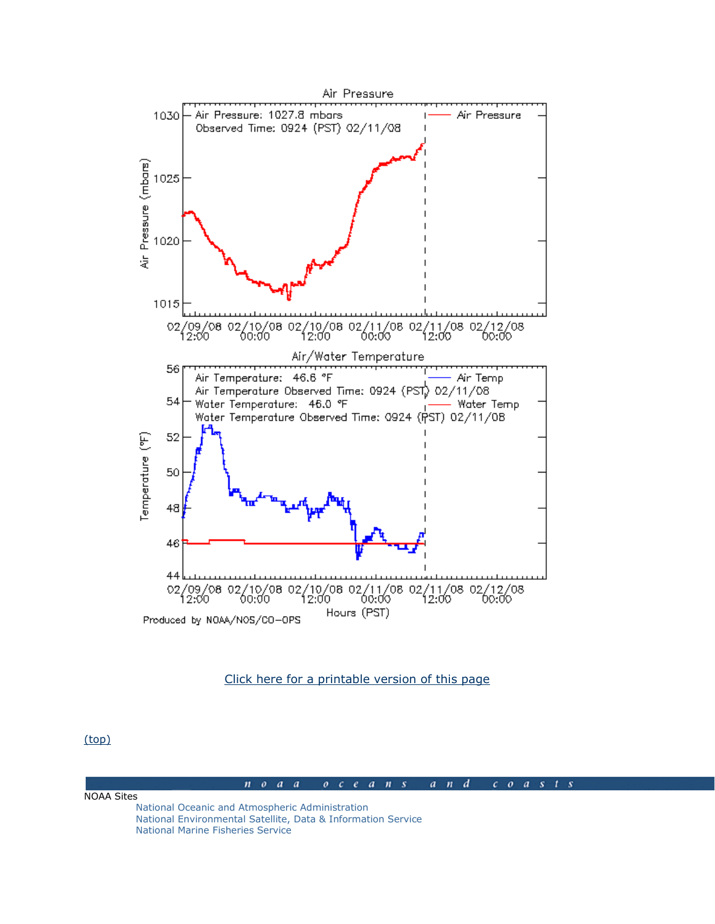

#### [Click here for a printable version of this page](http://oceanservice.noaa.gov/education/lessons/ups_downs_appendix_c2.html)

[\(top\)](http://oceanservice.noaa.gov/education/lessons/ups_downs.html#top)

#### $a$   $n$   $d$  $n \circ a \circ a$  $0 \quad c \quad e \quad a \quad n \quad s$  $c$   $o$   $a$   $s$   $t$   $s$

NOAA Sites [National Oceanic and Atmospheric Administration](http://www.noaa.gov/) [National Environmental Satellite, Data & Information Service](http://www.nesdis.noaa.gov/) [National Marine Fisheries Service](http://www.nmfs.noaa.gov/)